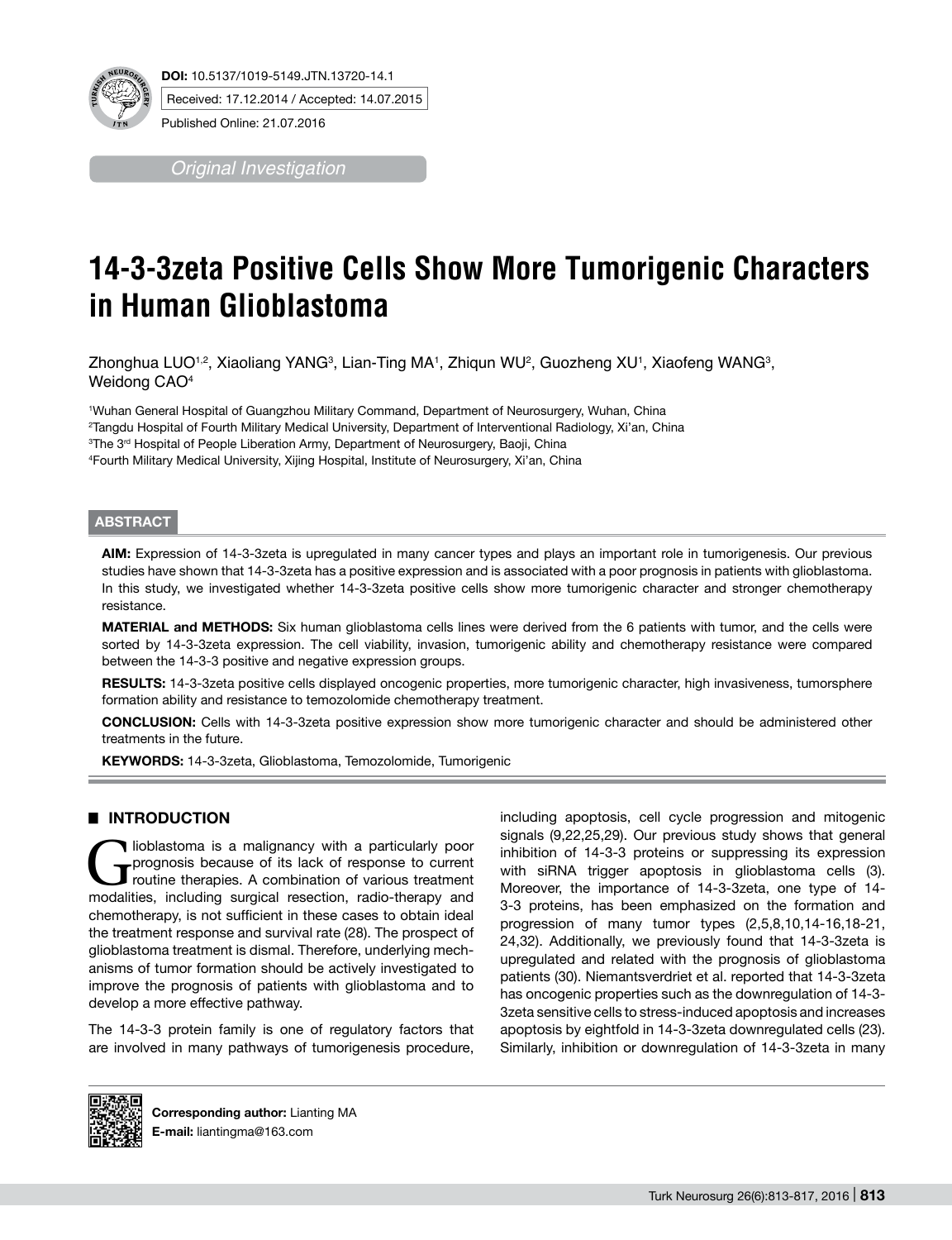

*Original Investigation*

# **14-3-3zeta Positive Cells Show More Tumorigenic Characters in Human Glioblastoma**

Zhonghua LUO1<sup>,2</sup>, Xiaoliang YANG<sup>3</sup>, Lian-Ting MA1, Zhiqun WU<sup>2</sup>, Guozheng XU1, Xiaofeng WANG3, Weidong CAO<sup>4</sup>

1 Wuhan General Hospital of Guangzhou Military Command, Department of Neurosurgery, Wuhan, China <sup>2</sup>Tangdu Hospital of Fourth Military Medical University, Department of Interventional Radiology, Xi'an, China<br><sup>3</sup>The 3ª Hospital of People Liberation Army, Department of Neurosurgery, Baoii, China <sup>3</sup>The 3<sup>rd</sup> Hospital of People Liberation Army, Department of Neurosurgery, Baoji, China 4 Fourth Military Medical University, Xijing Hospital, Institute of Neurosurgery, Xi'an, China

## **ABSTRACT**

**AIm:** Expression of 14-3-3zeta is upregulated in many cancer types and plays an important role in tumorigenesis. Our previous studies have shown that 14-3-3zeta has a positive expression and is associated with a poor prognosis in patients with glioblastoma. In this study, we investigated whether 14-3-3zeta positive cells show more tumorigenic character and stronger chemotherapy resistance.

**MATERIAL and METHODS:** Six human glioblastoma cells lines were derived from the 6 patients with tumor, and the cells were sorted by 14-3-3zeta expression. The cell viability, invasion, tumorigenic ability and chemotherapy resistance were compared between the 14-3-3 positive and negative expression groups.

RESULTS: 14-3-3zeta positive cells displayed oncogenic properties, more tumorigenic character, high invasiveness, tumorsphere formation ability and resistance to temozolomide chemotherapy treatment.

**ConclusIon:** Cells with 14-3-3zeta positive expression show more tumorigenic character and should be administered other treatments in the future.

KEYWORDS: 14-3-3zeta, Glioblastoma, Temozolomide, Tumorigenic

# █ **Introduction**

Glioblastoma is a malignancy with a particularly poor<br>
prognosis because of its lack of response to current<br>
routine therapies. A combination of various treatment<br>
modelities including surrical resection radio-therapy and prognosis because of its lack of response to current routine therapies. A combination of various treatment modalities, including surgical resection, radio-therapy and chemotherapy, is not sufficient in these cases to obtain ideal the treatment response and survival rate (28). The prospect of glioblastoma treatment is dismal. Therefore, underlying mechanisms of tumor formation should be actively investigated to improve the prognosis of patients with glioblastoma and to develop a more effective pathway.

The 14-3-3 protein family is one of regulatory factors that are involved in many pathways of tumorigenesis procedure,

including apoptosis, cell cycle progression and mitogenic signals (9,22,25,29). Our previous study shows that general inhibition of 14-3-3 proteins or suppressing its expression with siRNA trigger apoptosis in glioblastoma cells (3). Moreover, the importance of 14-3-3zeta, one type of 14- 3-3 proteins, has been emphasized on the formation and progression of many tumor types (2,5,8,10,14-16,18-21, 24,32). Additionally, we previously found that 14-3-3zeta is upregulated and related with the prognosis of glioblastoma patients (30). Niemantsverdriet et al. reported that 14-3-3zeta has oncogenic properties such as the downregulation of 14-3- 3zeta sensitive cells to stress-induced apoptosis and increases apoptosis by eightfold in 14-3-3zeta downregulated cells (23). Similarly, inhibition or downregulation of 14-3-3zeta in many



**Corresponding author:** Lianting Ma **E-mail:** liantingma@163.com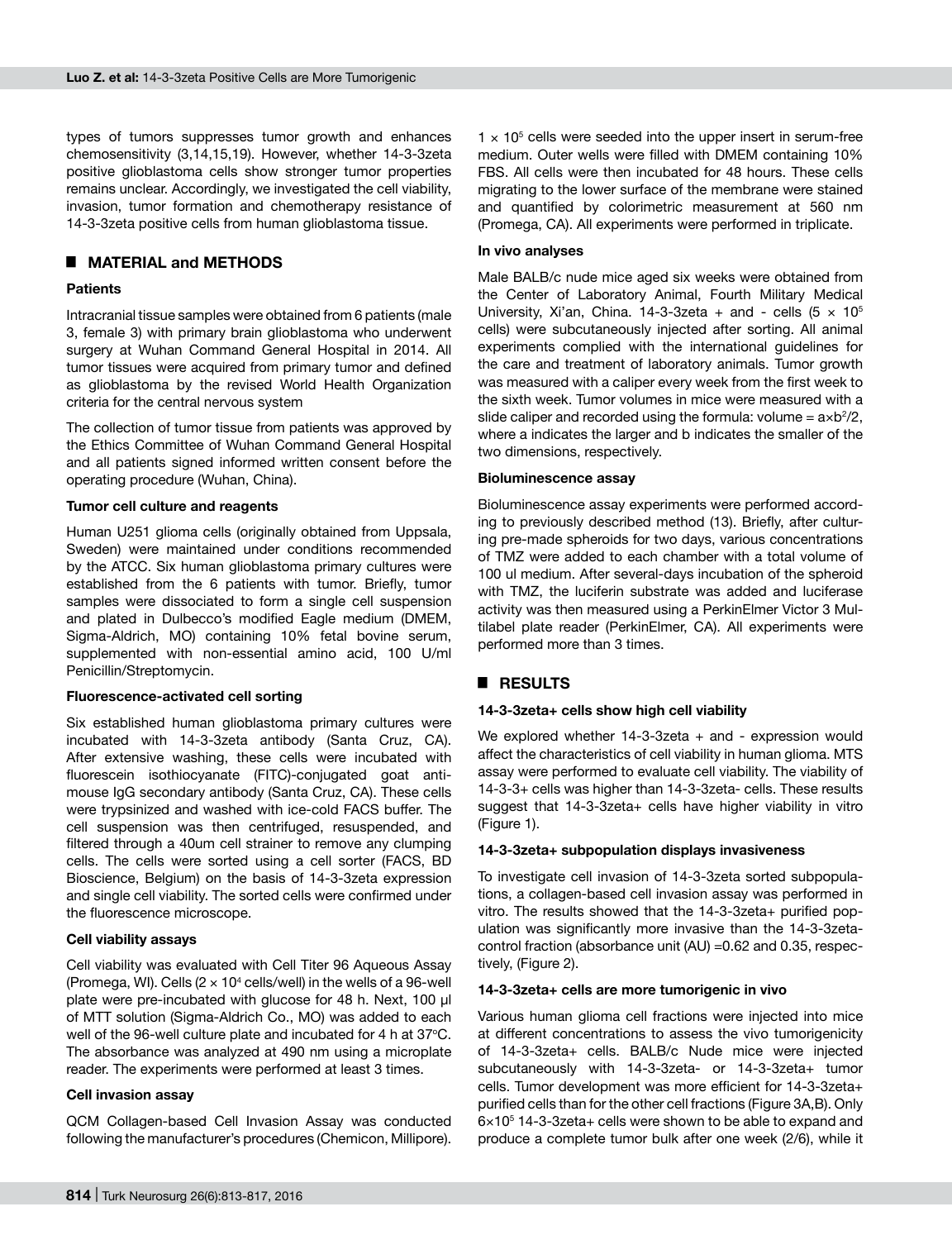types of tumors suppresses tumor growth and enhances chemosensitivity (3,14,15,19). However, whether 14-3-3zeta positive glioblastoma cells show stronger tumor properties remains unclear. Accordingly, we investigated the cell viability, invasion, tumor formation and chemotherapy resistance of 14-3-3zeta positive cells from human glioblastoma tissue.

# █ **Material and Methods**

#### **Patients**

Intracranial tissue samples were obtained from 6 patients (male 3, female 3) with primary brain glioblastoma who underwent surgery at Wuhan Command General Hospital in 2014. All tumor tissues were acquired from primary tumor and defined as glioblastoma by the revised World Health Organization criteria for the central nervous system

The collection of tumor tissue from patients was approved by the Ethics Committee of Wuhan Command General Hospital and all patients signed informed written consent before the operating procedure (Wuhan, China).

#### **Tumor cell culture and reagents**

Human U251 glioma cells (originally obtained from Uppsala, Sweden) were maintained under conditions recommended by the ATCC. Six human glioblastoma primary cultures were established from the 6 patients with tumor. Briefly, tumor samples were dissociated to form a single cell suspension and plated in Dulbecco's modified Eagle medium (DMEM, Sigma-Aldrich, MO) containing 10% fetal bovine serum, supplemented with non-essential amino acid, 100 U/ml Penicillin/Streptomycin.

#### **Fluorescence-activated cell sorting**

Six established human glioblastoma primary cultures were incubated with 14-3-3zeta antibody (Santa Cruz, CA). After extensive washing, these cells were incubated with fluorescein isothiocyanate (FITC)-conjugated goat antimouse IgG secondary antibody (Santa Cruz, CA). These cells were trypsinized and washed with ice-cold FACS buffer. The cell suspension was then centrifuged, resuspended, and filtered through a 40um cell strainer to remove any clumping cells. The cells were sorted using a cell sorter (FACS, BD Bioscience, Belgium) on the basis of 14-3-3zeta expression and single cell viability. The sorted cells were confirmed under the fluorescence microscope.

#### **Cell viability assays**

Cell viability was evaluated with Cell Titer 96 Aqueous Assay (Promega, WI). Cells (2  $\times$  10 $^4$  cells/well) in the wells of a 96-well plate were pre-incubated with glucose for 48 h. Next, 100 µl of MTT solution (Sigma-Aldrich Co., MO) was added to each well of the 96-well culture plate and incubated for 4 h at  $37^{\circ}$ C. The absorbance was analyzed at 490 nm using a microplate reader. The experiments were performed at least 3 times.

## **Cell invasion assay**

QCM Collagen-based Cell Invasion Assay was conducted following the manufacturer's procedures (Chemicon, Millipore).

 $1 \times 10^5$  cells were seeded into the upper insert in serum-free medium. Outer wells were filled with DMEM containing 10% FBS. All cells were then incubated for 48 hours. These cells migrating to the lower surface of the membrane were stained and quantified by colorimetric measurement at 560 nm (Promega, CA). All experiments were performed in triplicate.

#### **In vivo analyses**

Male BALB/c nude mice aged six weeks were obtained from the Center of Laboratory Animal, Fourth Military Medical University, Xi'an, China. 14-3-3zeta + and - cells  $(5 \times 10^5$ cells) were subcutaneously injected after sorting. All animal experiments complied with the international guidelines for the care and treatment of laboratory animals. Tumor growth was measured with a caliper every week from the first week to the sixth week. Tumor volumes in mice were measured with a slide caliper and recorded using the formula: volume  $=$  a $\times$ b<sup>2</sup>/2, where a indicates the larger and b indicates the smaller of the two dimensions, respectively.

#### **Bioluminescence assay**

Bioluminescence assay experiments were performed according to previously described method (13). Briefly, after culturing pre-made spheroids for two days, various concentrations of TMZ were added to each chamber with a total volume of 100 ul medium. After several-days incubation of the spheroid with TMZ, the luciferin substrate was added and luciferase activity was then measured using a PerkinElmer Victor 3 Multilabel plate reader (PerkinElmer, CA). All experiments were performed more than 3 times.

# █ **Results**

## **14-3-3zeta+ cells show high cell viability**

We explored whether 14-3-3zeta + and - expression would affect the characteristics of cell viability in human glioma. MTS assay were performed to evaluate cell viability. The viability of 14-3-3+ cells was higher than 14-3-3zeta- cells. These results suggest that 14-3-3zeta+ cells have higher viability in vitro (Figure 1).

## **14-3-3zeta+ subpopulation displays invasiveness**

To investigate cell invasion of 14-3-3zeta sorted subpopulations, a collagen-based cell invasion assay was performed in vitro. The results showed that the 14-3-3zeta+ purified population was significantly more invasive than the 14-3-3zetacontrol fraction (absorbance unit (AU) =0.62 and 0.35, respectively, (Figure 2).

#### **14-3-3zeta+ cells are more tumorigenic in vivo**

Various human glioma cell fractions were injected into mice at different concentrations to assess the vivo tumorigenicity of 14-3-3zeta+ cells. BALB/c Nude mice were injected subcutaneously with 14-3-3zeta- or 14-3-3zeta+ tumor cells. Tumor development was more efficient for 14-3-3zeta+ purified cells than for the other cell fractions (Figure 3A,B). Only  $6\times10^{5}$  14-3-3zeta+ cells were shown to be able to expand and produce a complete tumor bulk after one week (2/6), while it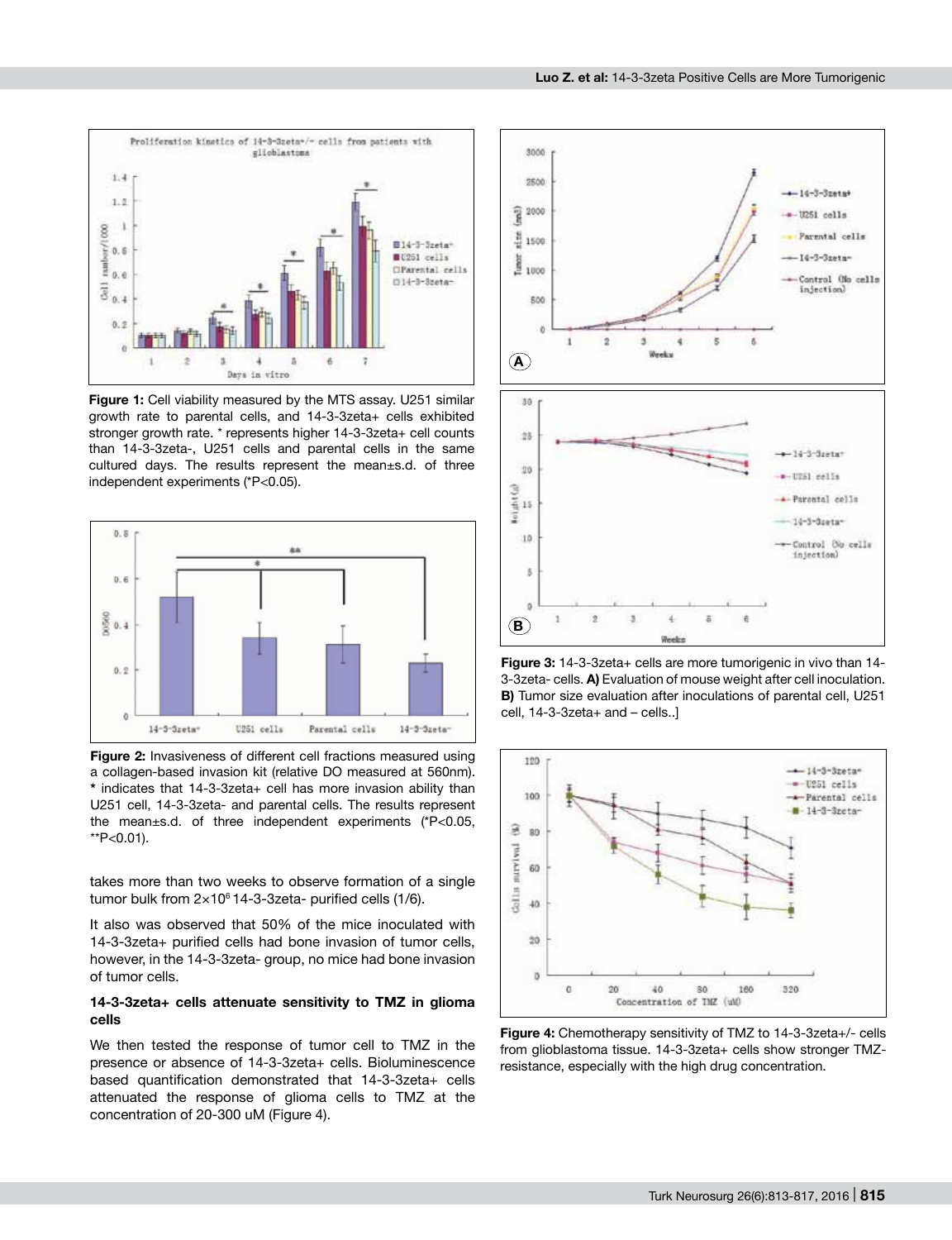

**Figure 1:** Cell viability measured by the MTS assay. U251 similar growth rate to parental cells, and 14-3-3zeta+ cells exhibited stronger growth rate. \* represents higher 14-3-3zeta+ cell counts than 14-3-3zeta-, U251 cells and parental cells in the same cultured days. The results represent the mean±s.d. of three independent experiments (\*P<0.05).



**Figure 2:** Invasiveness of different cell fractions measured using a collagen-based invasion kit (relative DO measured at 560nm). **\*** indicates that 14-3-3zeta+ cell has more invasion ability than U251 cell, 14-3-3zeta- and parental cells. The results represent the mean±s.d. of three independent experiments (\*P<0.05,  $*P<0.01$ ).

takes more than two weeks to observe formation of a single tumor bulk from  $2 \times 10^6$  14-3-3zeta- purified cells (1/6).

It also was observed that 50% of the mice inoculated with 14-3-3zeta+ purified cells had bone invasion of tumor cells, however, in the 14-3-3zeta- group, no mice had bone invasion of tumor cells.

#### **14-3-3zeta+ cells attenuate sensitivity to TMZ in glioma cells**

We then tested the response of tumor cell to TMZ in the presence or absence of 14-3-3zeta+ cells. Bioluminescence based quantification demonstrated that 14-3-3zeta+ cells attenuated the response of glioma cells to TMZ at the concentration of 20-300 uM (Figure 4).



**Figure 3:** 14-3-3zeta+ cells are more tumorigenic in vivo than 14- 3-3zeta- cells. **A)** Evaluation of mouse weight after cell inoculation. **B)** Tumor size evaluation after inoculations of parental cell, U251 cell, 14-3-3zeta+ and – cells..]



**Figure 4:** Chemotherapy sensitivity of TMZ to 14-3-3zeta+/- cells from glioblastoma tissue. 14-3-3zeta+ cells show stronger TMZresistance, especially with the high drug concentration.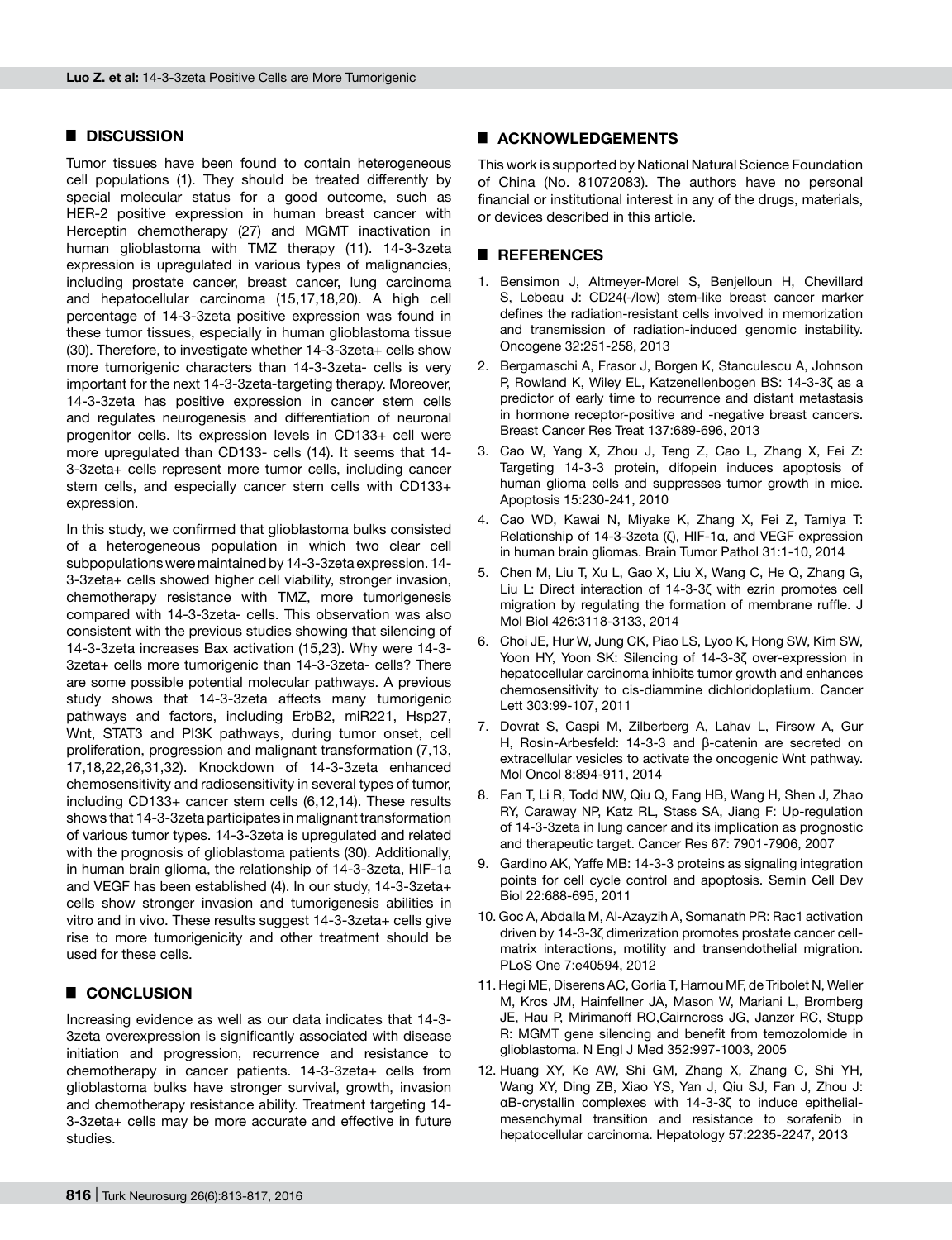#### █ **Discussion**

Tumor tissues have been found to contain heterogeneous cell populations (1). They should be treated differently by special molecular status for a good outcome, such as HER-2 positive expression in human breast cancer with Herceptin chemotherapy (27) and MGMT inactivation in human glioblastoma with TMZ therapy (11). 14-3-3zeta expression is upregulated in various types of malignancies, including prostate cancer, breast cancer, lung carcinoma and hepatocellular carcinoma (15,17,18,20). A high cell percentage of 14-3-3zeta positive expression was found in these tumor tissues, especially in human glioblastoma tissue (30). Therefore, to investigate whether 14-3-3zeta+ cells show more tumorigenic characters than 14-3-3zeta- cells is very important for the next 14-3-3zeta-targeting therapy. Moreover, 14-3-3zeta has positive expression in cancer stem cells and regulates neurogenesis and differentiation of neuronal progenitor cells. Its expression levels in CD133+ cell were more upregulated than CD133- cells (14). It seems that 14- 3-3zeta+ cells represent more tumor cells, including cancer stem cells, and especially cancer stem cells with CD133+ expression.

In this study, we confirmed that glioblastoma bulks consisted of a heterogeneous population in which two clear cell subpopulations were maintained by 14-3-3zeta expression. 14- 3-3zeta+ cells showed higher cell viability, stronger invasion, chemotherapy resistance with TMZ, more tumorigenesis compared with 14-3-3zeta- cells. This observation was also consistent with the previous studies showing that silencing of 14-3-3zeta increases Bax activation (15,23). Why were 14-3- 3zeta+ cells more tumorigenic than 14-3-3zeta- cells? There are some possible potential molecular pathways. A previous study shows that 14-3-3zeta affects many tumorigenic pathways and factors, including ErbB2, miR221, Hsp27, Wnt, STAT3 and PI3K pathways, during tumor onset, cell proliferation, progression and malignant transformation (7,13, 17,18,22,26,31,32). Knockdown of 14-3-3zeta enhanced chemosensitivity and radiosensitivity in several types of tumor, including CD133+ cancer stem cells (6,12,14). These results shows that 14-3-3zeta participates in malignant transformation of various tumor types. 14-3-3zeta is upregulated and related with the prognosis of glioblastoma patients (30). Additionally, in human brain glioma, the relationship of 14-3-3zeta, HIF-1a and VEGF has been established (4). In our study, 14-3-3zeta+ cells show stronger invasion and tumorigenesis abilities in vitro and in vivo. These results suggest 14-3-3zeta+ cells give rise to more tumorigenicity and other treatment should be used for these cells.

# █ **Conclusion**

Increasing evidence as well as our data indicates that 14-3- 3zeta overexpression is significantly associated with disease initiation and progression, recurrence and resistance to chemotherapy in cancer patients. 14-3-3zeta+ cells from glioblastoma bulks have stronger survival, growth, invasion and chemotherapy resistance ability. Treatment targeting 14- 3-3zeta+ cells may be more accurate and effective in future studies.

#### █ **Acknowledgements**

This work is supported by National Natural Science Foundation of China (No. 81072083). The authors have no personal financial or institutional interest in any of the drugs, materials, or devices described in this article.

## █ **ReferenceS**

- 1. Bensimon J, Altmeyer-Morel S, Benjelloun H, Chevillard S, Lebeau J: CD24(-/low) stem-like breast cancer marker defines the radiation-resistant cells involved in memorization and transmission of radiation-induced genomic instability. Oncogene 32:251-258, 2013
- 2. Bergamaschi A, Frasor J, Borgen K, Stanculescu A, Johnson P, Rowland K, Wiley EL, Katzenellenbogen BS: 14-3-3ζ as a predictor of early time to recurrence and distant metastasis in hormone receptor-positive and -negative breast cancers. Breast Cancer Res Treat 137:689-696, 2013
- 3. Cao W, Yang X, Zhou J, Teng Z, Cao L, Zhang X, Fei Z: Targeting 14-3-3 protein, difopein induces apoptosis of human glioma cells and suppresses tumor growth in mice. Apoptosis 15:230-241, 2010
- 4. Cao WD, Kawai N, Miyake K, Zhang X, Fei Z, Tamiya T: Relationship of 14-3-3zeta (ζ), HIF-1α, and VEGF expression in human brain gliomas. Brain Tumor Pathol 31:1-10, 2014
- 5. Chen M, Liu T, Xu L, Gao X, Liu X, Wang C, He Q, Zhang G, Liu L: Direct interaction of 14-3-3ζ with ezrin promotes cell migration by regulating the formation of membrane ruffle. J Mol Biol 426:3118-3133, 2014
- 6. Choi JE, Hur W, Jung CK, Piao LS, Lyoo K, Hong SW, Kim SW, Yoon HY, Yoon SK: Silencing of 14-3-3ζ over-expression in hepatocellular carcinoma inhibits tumor growth and enhances chemosensitivity to cis-diammine dichloridoplatium. Cancer Lett 303:99-107, 2011
- 7. Dovrat S, Caspi M, Zilberberg A, Lahav L, Firsow A, Gur H, Rosin-Arbesfeld: 14-3-3 and β-catenin are secreted on extracellular vesicles to activate the oncogenic Wnt pathway. Mol Oncol 8:894-911, 2014
- 8. Fan T, Li R, Todd NW, Qiu Q, Fang HB, Wang H, Shen J, Zhao RY, Caraway NP, Katz RL, Stass SA, Jiang F: Up-regulation of 14-3-3zeta in lung cancer and its implication as prognostic and therapeutic target. Cancer Res 67: 7901-7906, 2007
- 9. Gardino AK, Yaffe MB: 14-3-3 proteins as signaling integration points for cell cycle control and apoptosis. Semin Cell Dev Biol 22:688-695, 2011
- 10. Goc A, Abdalla M, Al-Azayzih A, Somanath PR: Rac1 activation driven by 14-3-3ζ dimerization promotes prostate cancer cellmatrix interactions, motility and transendothelial migration. PLoS One 7:e40594, 2012
- 11. Hegi ME, Diserens AC, Gorlia T, Hamou MF, de Tribolet N, Weller M, Kros JM, Hainfellner JA, Mason W, Mariani L, Bromberg JE, Hau P, Mirimanoff RO,Cairncross JG, Janzer RC, Stupp R: MGMT gene silencing and benefit from temozolomide in glioblastoma. N Engl J Med 352:997-1003, 2005
- 12. Huang XY, Ke AW, Shi GM, Zhang X, Zhang C, Shi YH, Wang XY, Ding ZB, Xiao YS, Yan J, Qiu SJ, Fan J, Zhou J: αB-crystallin complexes with 14-3-3ζ to induce epithelialmesenchymal transition and resistance to sorafenib in hepatocellular carcinoma. Hepatology 57:2235-2247, 2013